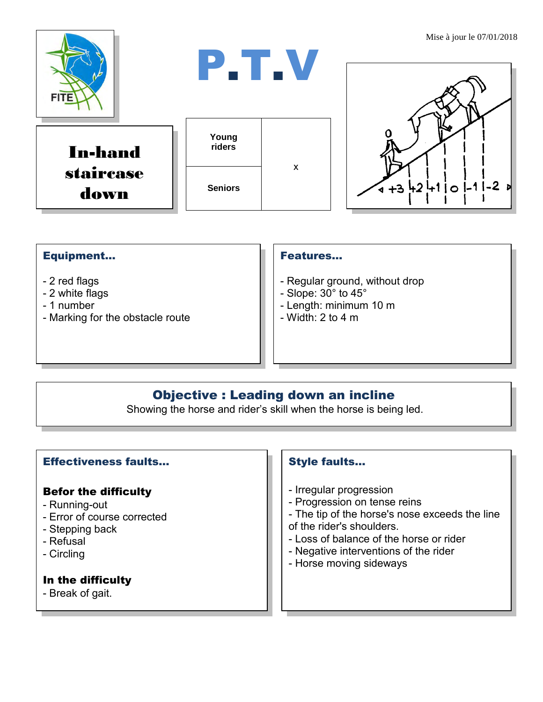

### Equipment...

- 2 red flags
- 2 white flags
- 1 number
- Marking for the obstacle route

#### Features…

- Regular ground, without drop
- Slope: 30° to 45°
- Length: minimum 10 m
- $-$  Width: 2 to 4 m

# Objective : Leading down an incline

Showing the horse and rider's skill when the horse is being led.

#### Effectiveness faults…

#### Befor the difficulty

- Running-out
- Error of course corrected
- Stepping back
- Refusal
- Circling

# In the difficulty

- Break of gait.

# Style faults…

- Irregular progression
- Progression on tense reins
- The tip of the horse's nose exceeds the line
- of the rider's shoulders.
- Loss of balance of the horse or rider
- Negative interventions of the rider
- Horse moving sideways